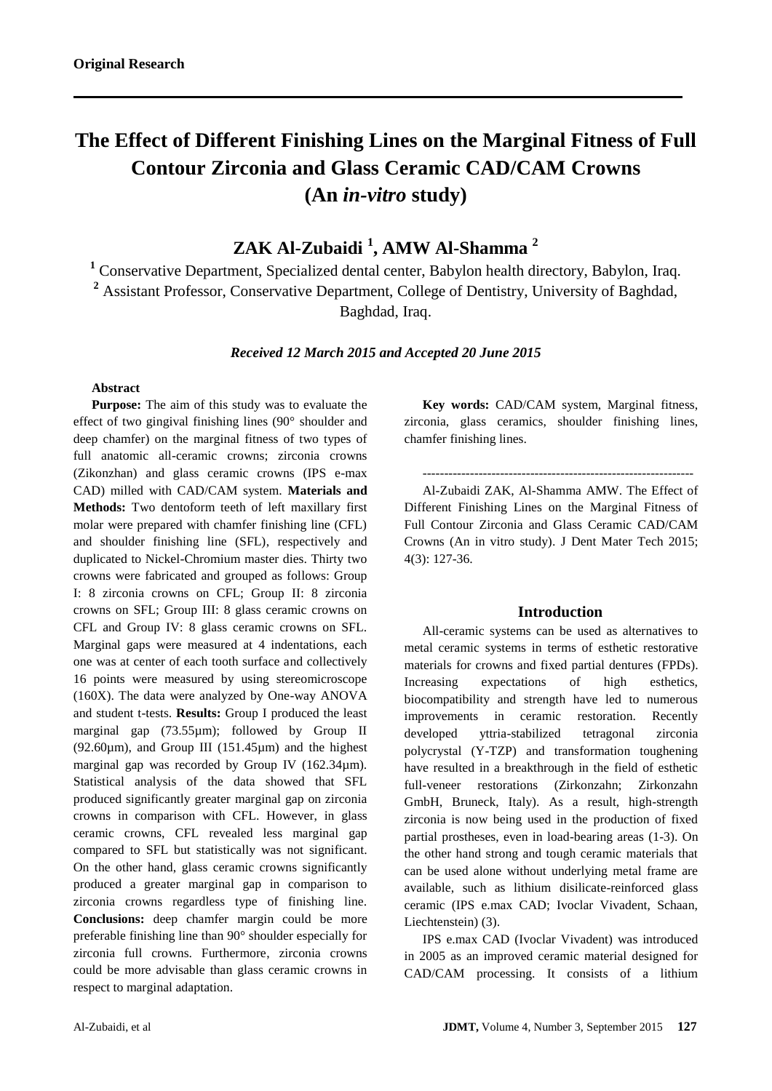# **The Effect of Different Finishing Lines on the Marginal Fitness of Full Contour Zirconia and Glass Ceramic CAD/CAM Crowns (An** *in-vitro* **study)**

**ZAK Al-Zubaidi <sup>1</sup> , AMW Al-Shamma <sup>2</sup>**

**<sup>1</sup>** Conservative Department, Specialized dental center, Babylon health directory, Babylon, Iraq. <sup>2</sup> Assistant Professor, Conservative Department, College of Dentistry, University of Baghdad, Baghdad, Iraq.

*Received 12 March 2015 and Accepted 20 June 2015*

#### **Abstract**

**Purpose:** The aim of this study was to evaluate the effect of two gingival finishing lines (90° shoulder and deep chamfer) on the marginal fitness of two types of full anatomic all-ceramic crowns; zirconia crowns (Zikonzhan) and glass ceramic crowns (IPS e-max CAD) milled with CAD/CAM system. **Materials and Methods:** Two dentoform teeth of left maxillary first molar were prepared with chamfer finishing line (CFL) and shoulder finishing line (SFL), respectively and duplicated to Nickel-Chromium master dies. Thirty two crowns were fabricated and grouped as follows: Group I: 8 zirconia crowns on CFL; Group II: 8 zirconia crowns on SFL; Group III: 8 glass ceramic crowns on CFL and Group IV: 8 glass ceramic crowns on SFL. Marginal gaps were measured at 4 indentations, each one was at center of each tooth surface and collectively 16 points were measured by using stereomicroscope (160X). The data were analyzed by One-way ANOVA and student t-tests. **Results:** Group I produced the least marginal gap (73.55µm); followed by Group II (92.60 $\mu$ m), and Group III (151.45 $\mu$ m) and the highest marginal gap was recorded by Group IV (162.34µm). Statistical analysis of the data showed that SFL produced significantly greater marginal gap on zirconia crowns in comparison with CFL. However, in glass ceramic crowns, CFL revealed less marginal gap compared to SFL but statistically was not significant. On the other hand, glass ceramic crowns significantly produced a greater marginal gap in comparison to zirconia crowns regardless type of finishing line. **Conclusions:** deep chamfer margin could be more preferable finishing line than 90° shoulder especially for zirconia full crowns. Furthermore, zirconia crowns could be more advisable than glass ceramic crowns in respect to marginal adaptation.

**Key words:** CAD/CAM system, Marginal fitness, zirconia, glass ceramics, shoulder finishing lines, chamfer finishing lines.

--------------------------------------------------------------- Al-Zubaidi ZAK, Al-Shamma AMW. The Effect of Different Finishing Lines on the Marginal Fitness of Full Contour Zirconia and Glass Ceramic CAD/CAM Crowns (An in vitro study). J Dent Mater Tech 2015; 4(3): 127-36.

#### **Introduction**

All-ceramic systems can be used as alternatives to metal ceramic systems in terms of esthetic restorative materials for crowns and fixed partial dentures (FPDs). Increasing expectations of high esthetics, biocompatibility and strength have led to numerous improvements in ceramic restoration. Recently developed yttria-stabilized tetragonal zirconia polycrystal (Y-TZP) and transformation toughening have resulted in a breakthrough in the field of esthetic full-veneer restorations (Zirkonzahn; Zirkonzahn GmbH, Bruneck, Italy). As a result, high-strength zirconia is now being used in the production of fixed partial prostheses, even in load-bearing areas (1-3). On the other hand strong and tough ceramic materials that can be used alone without underlying metal frame are available, such as lithium disilicate-reinforced glass ceramic (IPS e.max CAD; Ivoclar Vivadent, Schaan, Liechtenstein) (3).

IPS e.max CAD (Ivoclar Vivadent) was introduced in 2005 as an improved ceramic material designed for CAD/CAM processing. It consists of a lithium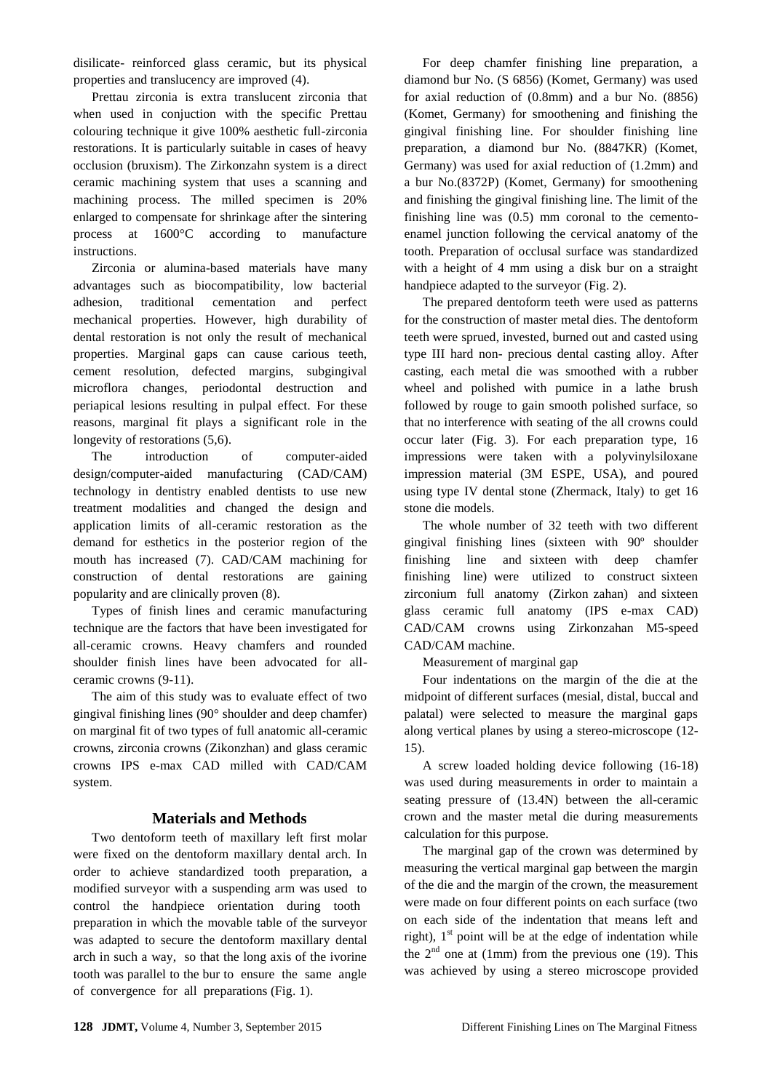disilicate- reinforced glass ceramic, but its physical properties and translucency are improved (4).

Prettau zirconia is extra translucent zirconia that when used in conjuction with the specific Prettau colouring technique it give 100% aesthetic full-zirconia restorations. It is particularly suitable in cases of heavy occlusion (bruxism). The Zirkonzahn system is a direct ceramic machining system that uses a scanning and machining process. The milled specimen is 20% enlarged to compensate for shrinkage after the sintering process at 1600°C according to manufacture instructions.

Zirconia or alumina-based materials have many advantages such as biocompatibility, low bacterial adhesion, traditional cementation and perfect mechanical properties. However, high durability of dental restoration is not only the result of mechanical properties. Marginal gaps can cause carious teeth, cement resolution, defected margins, subgingival microflora changes, periodontal destruction and periapical lesions resulting in pulpal effect. For these reasons, marginal fit plays a significant role in the longevity of restorations (5,6).

The introduction of computer-aided design/computer-aided manufacturing (CAD/CAM) technology in dentistry enabled dentists to use new treatment modalities and changed the design and application limits of all-ceramic restoration as the demand for esthetics in the posterior region of the mouth has increased (7). CAD/CAM machining for construction of dental restorations are gaining popularity and are clinically proven (8).

Types of finish lines and ceramic manufacturing technique are the factors that have been investigated for all-ceramic crowns. Heavy chamfers and rounded shoulder finish lines have been advocated for allceramic crowns (9-11).

The aim of this study was to evaluate effect of two gingival finishing lines (90° shoulder and deep chamfer) on marginal fit of two types of full anatomic all-ceramic crowns, zirconia crowns (Zikonzhan) and glass ceramic crowns IPS e-max CAD milled with CAD/CAM system.

# **Materials and Methods**

Two dentoform teeth of maxillary left first molar were fixed on the dentoform maxillary dental arch. In order to achieve standardized tooth preparation, a modified surveyor with a suspending arm was used to control the handpiece orientation during tooth preparation in which the movable table of the surveyor was adapted to secure the dentoform maxillary dental arch in such a way, so that the long axis of the ivorine tooth was parallel to the bur to ensure the same angle of convergence for all preparations (Fig. 1).

For deep chamfer finishing line preparation, a diamond bur No. (S 6856) (Komet, Germany) was used for axial reduction of (0.8mm) and a bur No. (8856) (Komet, Germany) for smoothening and finishing the gingival finishing line. For shoulder finishing line preparation, a diamond bur No. (8847KR) (Komet, Germany) was used for axial reduction of (1.2mm) and a bur No.(8372P) (Komet, Germany) for smoothening and finishing the gingival finishing line. The limit of the finishing line was (0.5) mm coronal to the cementoenamel junction following the cervical anatomy of the tooth. Preparation of occlusal surface was standardized with a height of 4 mm using a disk bur on a straight handpiece adapted to the surveyor (Fig. 2).

The prepared dentoform teeth were used as patterns for the construction of master metal dies. The dentoform teeth were sprued, invested, burned out and casted using type III hard non- precious dental casting alloy. After casting, each metal die was smoothed with a rubber wheel and polished with pumice in a lathe brush followed by rouge to gain smooth polished surface, so that no interference with seating of the all crowns could occur later (Fig. 3). For each preparation type, 16 impressions were taken with a polyvinylsiloxane impression material (3M ESPE, USA), and poured using type IV dental stone (Zhermack, Italy) to get 16 stone die models.

The whole number of 32 teeth with two different gingival finishing lines (sixteen with 90º shoulder finishing line and sixteen with deep chamfer finishing line) were utilized to construct sixteen zirconium full anatomy (Zirkon zahan) and sixteen glass ceramic full anatomy (IPS e-max CAD) CAD/CAM crowns using Zirkonzahan M5-speed CAD/CAM machine.

Measurement of marginal gap

Four indentations on the margin of the die at the midpoint of different surfaces (mesial, distal, buccal and palatal) were selected to measure the marginal gaps along vertical planes by using a stereo-microscope (12- 15).

A screw loaded holding device following (16-18) was used during measurements in order to maintain a seating pressure of (13.4N) between the all-ceramic crown and the master metal die during measurements calculation for this purpose.

The marginal gap of the crown was determined by measuring the vertical marginal gap between the margin of the die and the margin of the crown, the measurement were made on four different points on each surface (two on each side of the indentation that means left and right),  $1<sup>st</sup>$  point will be at the edge of indentation while the  $2<sup>nd</sup>$  one at (1mm) from the previous one (19). This was achieved by using a stereo microscope provided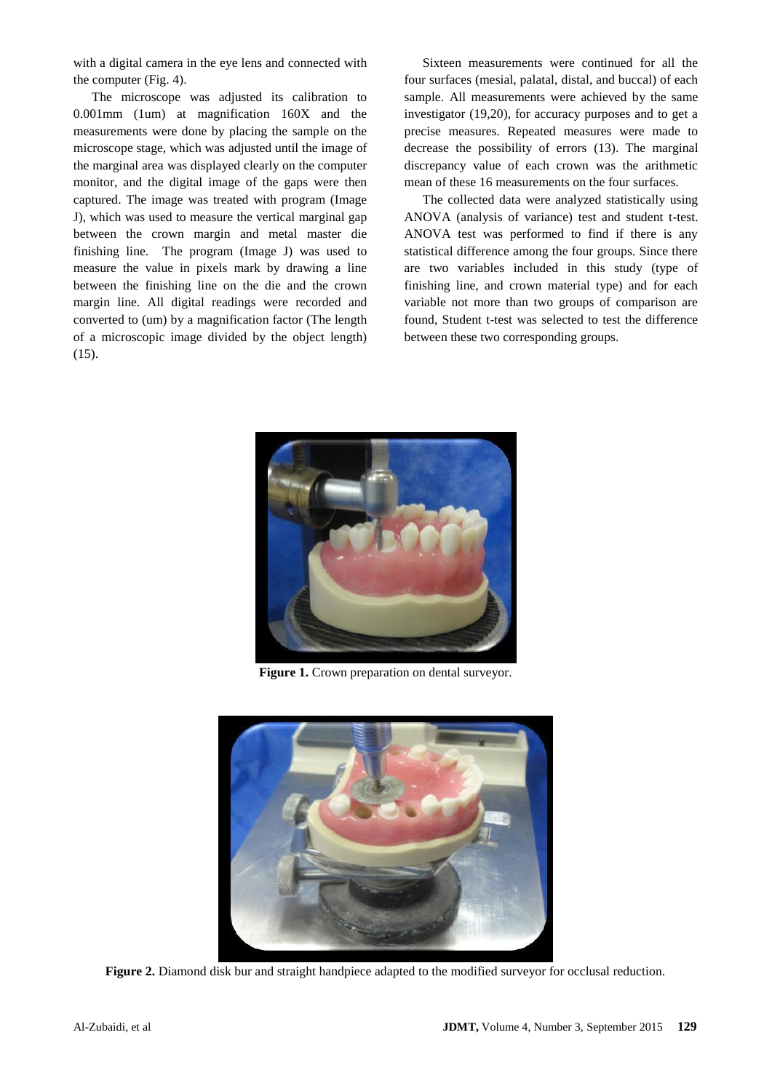with a digital camera in the eye lens and connected with the computer (Fig. 4).

The microscope was adjusted its calibration to 0.001mm (1um) at magnification 160X and the measurements were done by placing the sample on the microscope stage, which was adjusted until the image of the marginal area was displayed clearly on the computer monitor, and the digital image of the gaps were then captured. The image was treated with program (Image J), which was used to measure the vertical marginal gap between the crown margin and metal master die finishing line. The program (Image J) was used to measure the value in pixels mark by drawing a line between the finishing line on the die and the crown margin line. All digital readings were recorded and converted to (um) by a magnification factor (The length of a microscopic image divided by the object length) (15).

Sixteen measurements were continued for all the four surfaces (mesial, palatal, distal, and buccal) of each sample. All measurements were achieved by the same investigator (19,20), for accuracy purposes and to get a precise measures. Repeated measures were made to decrease the possibility of errors (13). The marginal discrepancy value of each crown was the arithmetic mean of these 16 measurements on the four surfaces.

The collected data were analyzed statistically using ANOVA (analysis of variance) test and student t-test. ANOVA test was performed to find if there is any statistical difference among the four groups. Since there are two variables included in this study (type of finishing line, and crown material type) and for each variable not more than two groups of comparison are found, Student t-test was selected to test the difference between these two corresponding groups.



**Figure 1.** Crown preparation on dental surveyor.



**Figure 2.** Diamond disk bur and straight handpiece adapted to the modified surveyor for occlusal reduction.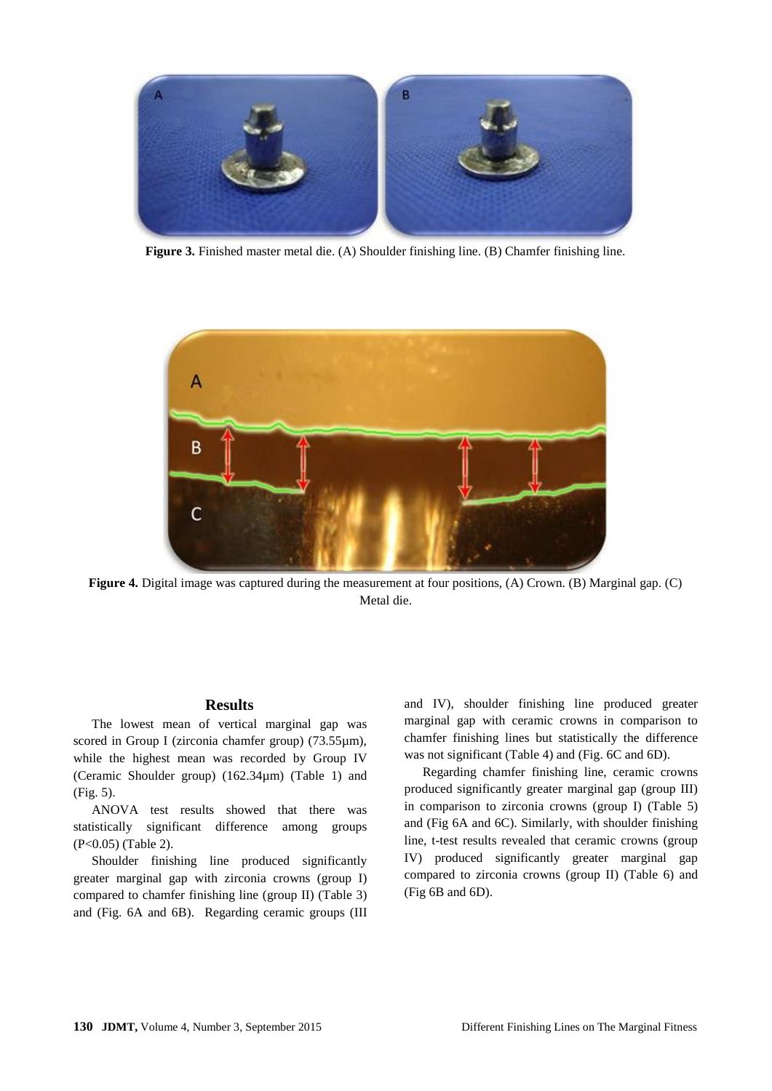

**Figure 3.** Finished master metal die. (A) Shoulder finishing line. (B) Chamfer finishing line.



**Figure 4.** Digital image was captured during the measurement at four positions, (A) Crown. (B) Marginal gap. (C) Metal die.

# **Results**

The lowest mean of vertical marginal gap was scored in Group I (zirconia chamfer group) (73.55µm), while the highest mean was recorded by Group IV (Ceramic Shoulder group) (162.34µm) (Table 1) and (Fig. 5).

ANOVA test results showed that there was statistically significant difference among groups (P<0.05) (Table 2).

Shoulder finishing line produced significantly greater marginal gap with zirconia crowns (group I) compared to chamfer finishing line (group II) (Table 3) and (Fig. 6A and 6B). Regarding ceramic groups (III and IV), shoulder finishing line produced greater marginal gap with ceramic crowns in comparison to chamfer finishing lines but statistically the difference was not significant (Table 4) and (Fig. 6C and 6D).

Regarding chamfer finishing line, ceramic crowns produced significantly greater marginal gap (group III) in comparison to zirconia crowns (group I) (Table 5) and (Fig 6A and 6C). Similarly, with shoulder finishing line, t-test results revealed that ceramic crowns (group IV) produced significantly greater marginal gap compared to zirconia crowns (group II) (Table 6) and (Fig 6B and 6D).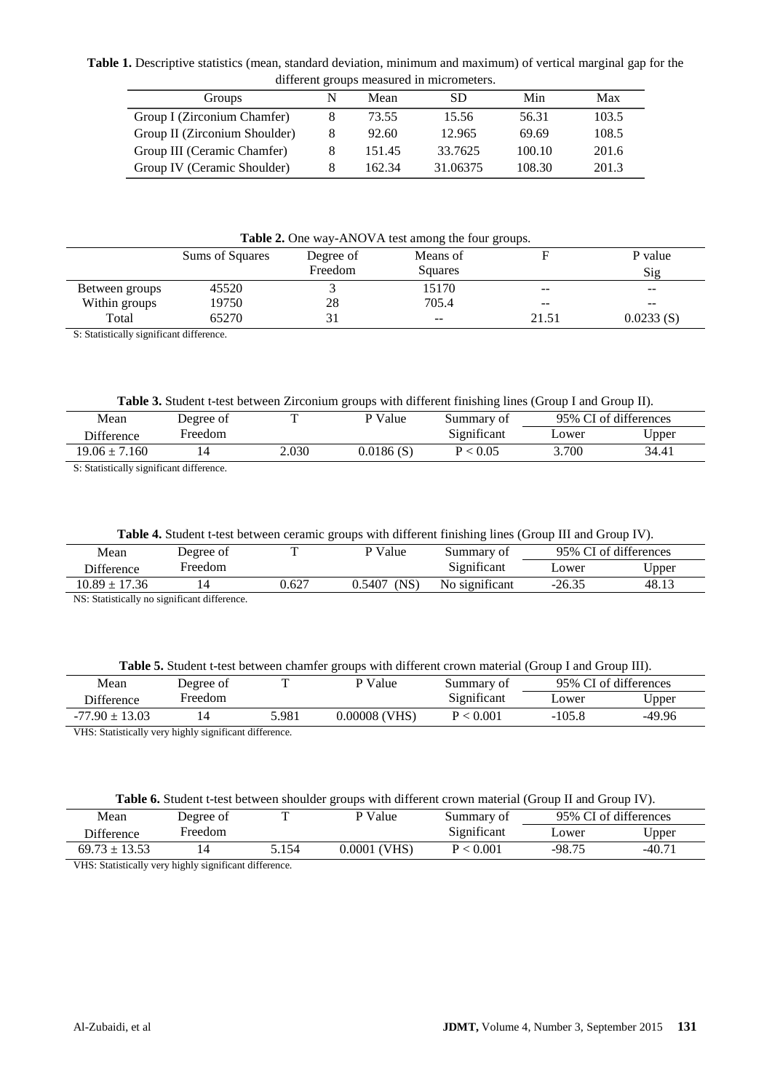**Table 1.** Descriptive statistics (mean, standard deviation, minimum and maximum) of vertical marginal gap for the different groups measured in micrometers.

| Groups                        | N | Mean   | <b>SD</b> | Min    | Max   |  |  |
|-------------------------------|---|--------|-----------|--------|-------|--|--|
| Group I (Zirconium Chamfer)   | 8 | 73.55  | 15.56     | 56.31  | 103.5 |  |  |
| Group II (Zirconium Shoulder) | 8 | 92.60  | 12.965    | 69.69  | 108.5 |  |  |
| Group III (Ceramic Chamfer)   | 8 | 151.45 | 33.7625   | 100.10 | 201.6 |  |  |
| Group IV (Ceramic Shoulder)   | 8 | 162.34 | 31.06375  | 108.30 | 201.3 |  |  |

### **Table 2.** One way-ANOVA test among the four groups.

|                | Sums of Squares | Degree of | Means of |       | P value        |
|----------------|-----------------|-----------|----------|-------|----------------|
|                |                 | Freedom   | Squares  |       | $\mathrm{Sig}$ |
| Between groups | 45520           |           | 15170    | $- -$ | $- -$          |
| Within groups  | 19750           | 28        | 705.4    | $- -$ | $- -$          |
| Total          | 65270           |           | $- -$    | 21.51 | 0.0233(S)      |

S: Statistically significant difference.

**Table 3.** Student t-test between Zirconium groups with different finishing lines (Group I and Group II).

| Mean                                    | Degree of |       | P Value   | Summary of  | 95% CI of differences |       |
|-----------------------------------------|-----------|-------|-----------|-------------|-----------------------|-------|
| Difference                              | Freedom   |       |           | Significant | ∟ower                 | Upper |
| $19.06 \pm 7.160$                       |           | 2.030 | 0.0186(S) | P < 0.05    | 3.700                 | 34.41 |
| S. Stotigtigally gianificant difference |           |       |           |             |                       |       |

S: Statistically significant difference.

**Table 4.** Student t-test between ceramic groups with different finishing lines (Group III and Group IV).

| Mean              | Degree of               |            | P Value      | Summary<br>-01 | 95% CI of differences |       |
|-------------------|-------------------------|------------|--------------|----------------|-----------------------|-------|
| Difference        | Freedom                 |            |              | Significant    | ower                  | Upper |
| $10.89 \pm 17.36$ |                         | $0.62^{-}$ | NS<br>0.5407 | No significant | $-26.35$              | 48.13 |
|                   | $\sim$<br>$\sim$ $\sim$ |            |              |                |                       |       |

NS: Statistically no significant difference.

| Mean               | Degree of |            | P Value         | Summary of  | 95% CI of differences |          |
|--------------------|-----------|------------|-----------------|-------------|-----------------------|----------|
| Difference         | Freedom   |            |                 | Significant | Lower                 | Upper    |
| $-77.90 \pm 13.03$ |           | 5.981      | $0.00008$ (VHS) | P < 0.001   | $-105.8$              | $-49.96$ |
| $TTTTCTT$ $T1$     | $\cdots$  | $\sim 120$ |                 |             |                       |          |

VHS: Statistically very highly significant difference.

| Mean              | Degree of | 95% CI of differences<br>P Value<br>Summary of |                |             |          |         |
|-------------------|-----------|------------------------------------------------|----------------|-------------|----------|---------|
| <b>Difference</b> | Freedom   |                                                |                | Significant | ∟ower    | Jpper   |
| $69.73 \pm 13.53$ |           | 5.154                                          | $0.0001$ (VHS) | P < 0.001   | $-98.75$ | $-40.7$ |

VHS: Statistically very highly significant difference.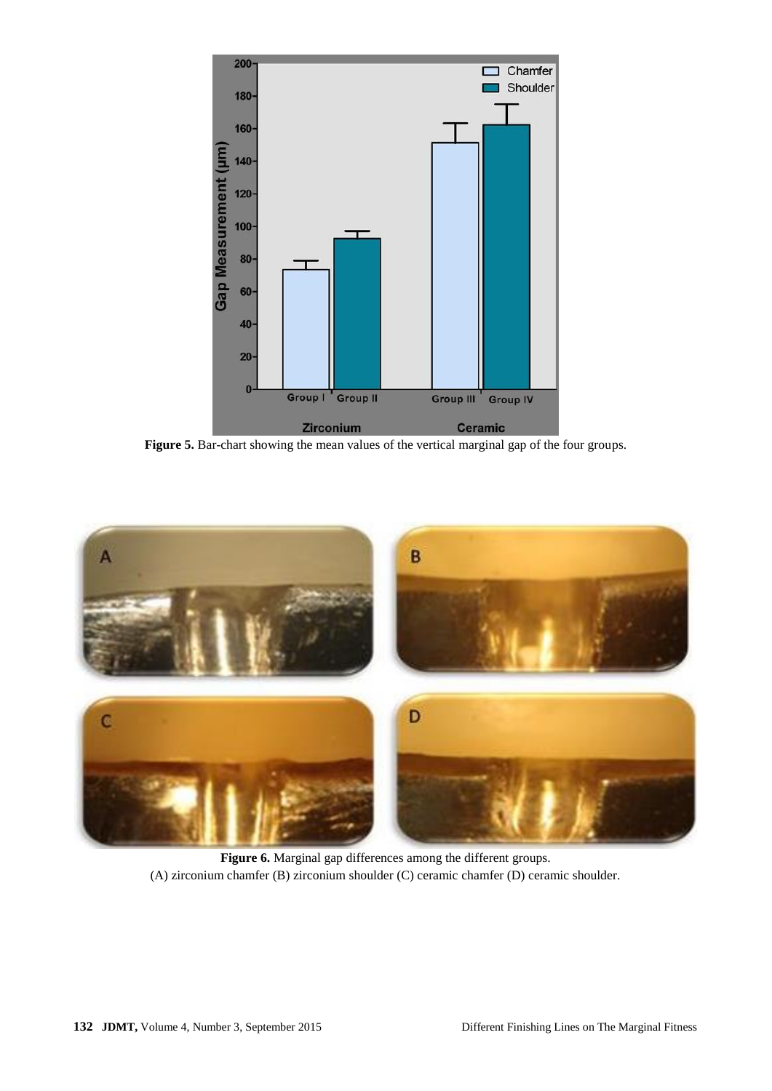

**Figure 5.** Bar-chart showing the mean values of the vertical marginal gap of the four groups.



**Figure 6.** Marginal gap differences among the different groups. (A) zirconium chamfer (B) zirconium shoulder (C) ceramic chamfer (D) ceramic shoulder.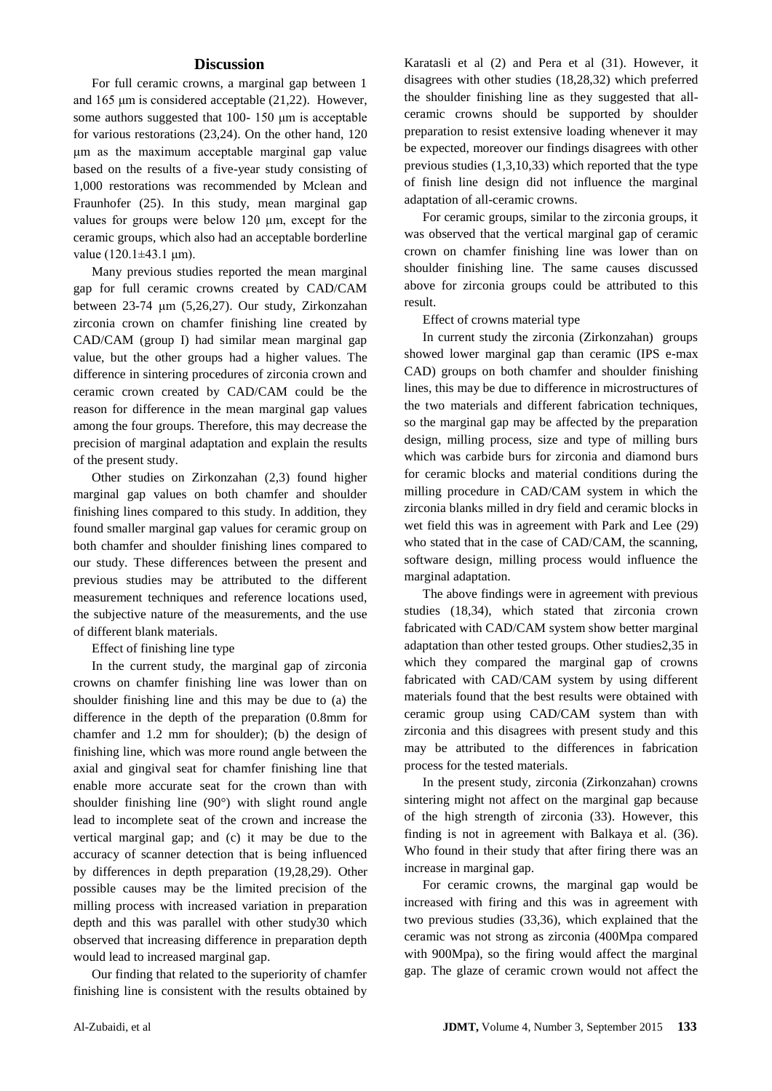### **Discussion**

For full ceramic crowns, a marginal gap between 1 and 165 μm is considered acceptable (21,22). However, some authors suggested that 100- 150 μm is acceptable for various restorations (23,24). On the other hand, 120 μm as the maximum acceptable marginal gap value based on the results of a five-year study consisting of 1,000 restorations was recommended by Mclean and Fraunhofer (25). In this study, mean marginal gap values for groups were below 120 μm, except for the ceramic groups, which also had an acceptable borderline value  $(120.1 \pm 43.1 \text{ }\mu\text{m})$ .

Many previous studies reported the mean marginal gap for full ceramic crowns created by CAD/CAM between 23-74 μm (5,26,27). Our study, Zirkonzahan zirconia crown on chamfer finishing line created by CAD/CAM (group I) had similar mean marginal gap value, but the other groups had a higher values. The difference in sintering procedures of zirconia crown and ceramic crown created by CAD/CAM could be the reason for difference in the mean marginal gap values among the four groups. Therefore, this may decrease the precision of marginal adaptation and explain the results of the present study.

Other studies on Zirkonzahan (2,3) found higher marginal gap values on both chamfer and shoulder finishing lines compared to this study. In addition, they found smaller marginal gap values for ceramic group on both chamfer and shoulder finishing lines compared to our study. These differences between the present and previous studies may be attributed to the different measurement techniques and reference locations used, the subjective nature of the measurements, and the use of different blank materials.

Effect of finishing line type

In the current study, the marginal gap of zirconia crowns on chamfer finishing line was lower than on shoulder finishing line and this may be due to (a) the difference in the depth of the preparation (0.8mm for chamfer and 1.2 mm for shoulder); (b) the design of finishing line, which was more round angle between the axial and gingival seat for chamfer finishing line that enable more accurate seat for the crown than with shoulder finishing line (90°) with slight round angle lead to incomplete seat of the crown and increase the vertical marginal gap; and (c) it may be due to the accuracy of scanner detection that is being influenced by differences in depth preparation (19,28,29). Other possible causes may be the limited precision of the milling process with increased variation in preparation depth and this was parallel with other study30 which observed that increasing difference in preparation depth would lead to increased marginal gap.

Our finding that related to the superiority of chamfer finishing line is consistent with the results obtained by Karatasli et al (2) and Pera et al (31). However, it disagrees with other studies (18,28,32) which preferred the shoulder finishing line as they suggested that allceramic crowns should be supported by shoulder preparation to resist extensive loading whenever it may be expected, moreover our findings disagrees with other previous studies (1,3,10,33) which reported that the type of finish line design did not influence the marginal adaptation of all-ceramic crowns.

For ceramic groups, similar to the zirconia groups, it was observed that the vertical marginal gap of ceramic crown on chamfer finishing line was lower than on shoulder finishing line. The same causes discussed above for zirconia groups could be attributed to this result.

Effect of crowns material type

In current study the zirconia (Zirkonzahan) groups showed lower marginal gap than ceramic (IPS e-max CAD) groups on both chamfer and shoulder finishing lines, this may be due to difference in microstructures of the two materials and different fabrication techniques, so the marginal gap may be affected by the preparation design, milling process, size and type of milling burs which was carbide burs for zirconia and diamond burs for ceramic blocks and material conditions during the milling procedure in CAD/CAM system in which the zirconia blanks milled in dry field and ceramic blocks in wet field this was in agreement with Park and Lee (29) who stated that in the case of CAD/CAM, the scanning, software design, milling process would influence the marginal adaptation.

The above findings were in agreement with previous studies (18,34), which stated that zirconia crown fabricated with CAD/CAM system show better marginal adaptation than other tested groups. Other studies2,35 in which they compared the marginal gap of crowns fabricated with CAD/CAM system by using different materials found that the best results were obtained with ceramic group using CAD/CAM system than with zirconia and this disagrees with present study and this may be attributed to the differences in fabrication process for the tested materials.

In the present study, zirconia (Zirkonzahan) crowns sintering might not affect on the marginal gap because of the high strength of zirconia (33). However, this finding is not in agreement with Balkaya et al. (36). Who found in their study that after firing there was an increase in marginal gap.

For ceramic crowns, the marginal gap would be increased with firing and this was in agreement with two previous studies (33,36), which explained that the ceramic was not strong as zirconia (400Mpa compared with 900Mpa), so the firing would affect the marginal gap. The glaze of ceramic crown would not affect the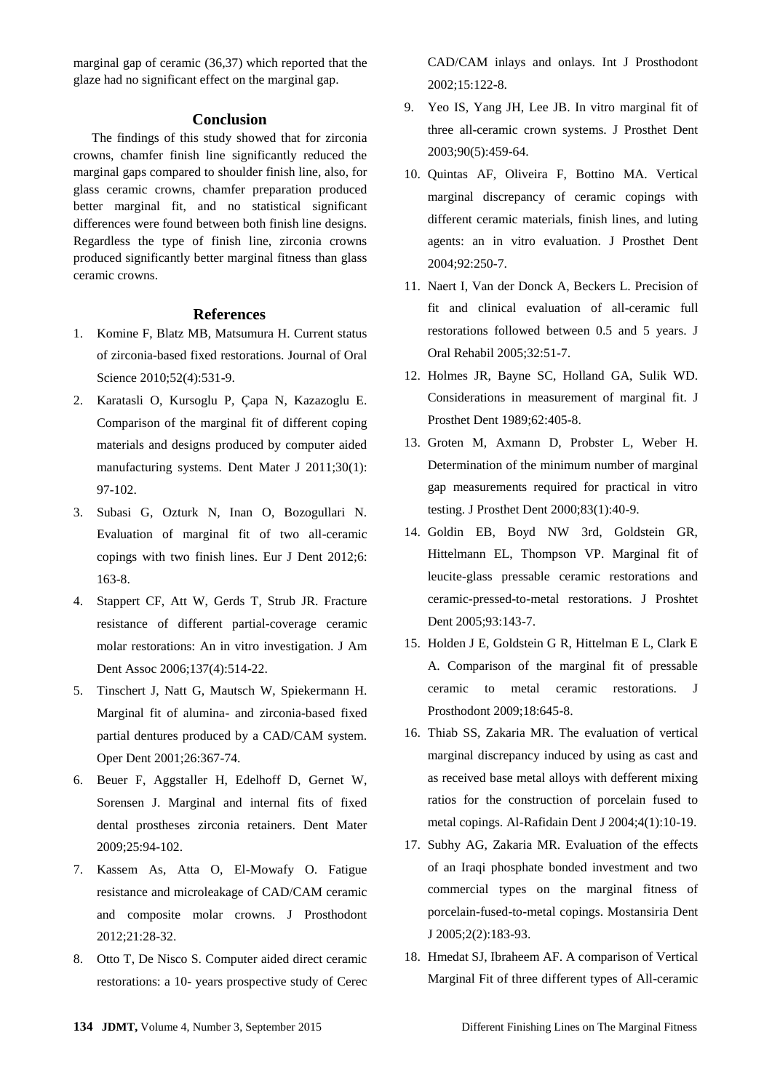marginal gap of ceramic (36,37) which reported that the glaze had no significant effect on the marginal gap.

#### **Conclusion**

The findings of this study showed that for zirconia crowns, chamfer finish line significantly reduced the marginal gaps compared to shoulder finish line, also, for glass ceramic crowns, chamfer preparation produced better marginal fit, and no statistical significant differences were found between both finish line designs. Regardless the type of finish line, zirconia crowns produced significantly better marginal fitness than glass ceramic crowns.

#### **References**

- 1. Komine F, Blatz MB, Matsumura H. Current status of zirconia-based fixed restorations. Journal of Oral Science 2010;52(4):531-9.
- 2. Karatasli O, Kursoglu P, Çapa N, Kazazoglu E. Comparison of the marginal fit of different coping materials and designs produced by computer aided manufacturing systems. Dent Mater J 2011;30(1): 97-102.
- 3. Subasi G, Ozturk N, Inan O, Bozogullari N. Evaluation of marginal fit of two all-ceramic copings with two finish lines. Eur J Dent 2012;6: 163-8.
- 4. Stappert CF, Att W, Gerds T, Strub JR. Fracture resistance of different partial-coverage ceramic molar restorations: An in vitro investigation. J Am Dent Assoc 2006;137(4):514-22.
- 5. Tinschert J, Natt G, Mautsch W, Spiekermann H. Marginal fit of alumina- and zirconia-based fixed partial dentures produced by a CAD/CAM system. Oper Dent 2001;26:367-74.
- 6. Beuer F, Aggstaller H, Edelhoff D, Gernet W, Sorensen J. Marginal and internal fits of fixed dental prostheses zirconia retainers. Dent Mater 2009;25:94-102.
- 7. Kassem As, Atta O, El-Mowafy O. Fatigue resistance and microleakage of CAD/CAM ceramic and composite molar crowns. J Prosthodont 2012;21:28-32.
- 8. Otto T, De Nisco S. Computer aided direct ceramic restorations: a 10- years prospective study of Cerec

CAD/CAM inlays and onlays. Int J Prosthodont 2002;15:122-8.

- 9. Yeo IS, Yang JH, Lee JB. In vitro marginal fit of three all-ceramic crown systems. J Prosthet Dent 2003;90(5):459-64.
- 10. Quintas AF, Oliveira F, Bottino MA. Vertical marginal discrepancy of ceramic copings with different ceramic materials, finish lines, and luting agents: an in vitro evaluation. J Prosthet Dent 2004;92:250-7.
- 11. Naert I, Van der Donck A, Beckers L. Precision of fit and clinical evaluation of all-ceramic full restorations followed between 0.5 and 5 years. J Oral Rehabil 2005;32:51-7.
- 12. Holmes JR, Bayne SC, Holland GA, Sulik WD. Considerations in measurement of marginal fit. J Prosthet Dent 1989;62:405-8.
- 13. Groten M, Axmann D, Probster L, Weber H. Determination of the minimum number of marginal gap measurements required for practical in vitro testing. J Prosthet Dent 2000;83(1):40-9.
- 14. Goldin EB, Boyd NW 3rd, Goldstein GR, Hittelmann EL, Thompson VP. Marginal fit of leucite-glass pressable ceramic restorations and ceramic-pressed-to-metal restorations. J Proshtet Dent 2005;93:143-7.
- 15. Holden J E, Goldstein G R, Hittelman E L, Clark E A. Comparison of the marginal fit of pressable ceramic to metal ceramic restorations. J Prosthodont 2009;18:645-8.
- 16. Thiab SS, Zakaria MR. The evaluation of vertical marginal discrepancy induced by using as cast and as received base metal alloys with defferent mixing ratios for the construction of porcelain fused to metal copings. Al-Rafidain Dent J 2004;4(1):10-19.
- 17. Subhy AG, Zakaria MR. Evaluation of the effects of an Iraqi phosphate bonded investment and two commercial types on the marginal fitness of porcelain-fused-to-metal copings. Mostansiria Dent J 2005;2(2):183-93.
- 18. Hmedat SJ, Ibraheem AF. A comparison of Vertical Marginal Fit of three different types of All-ceramic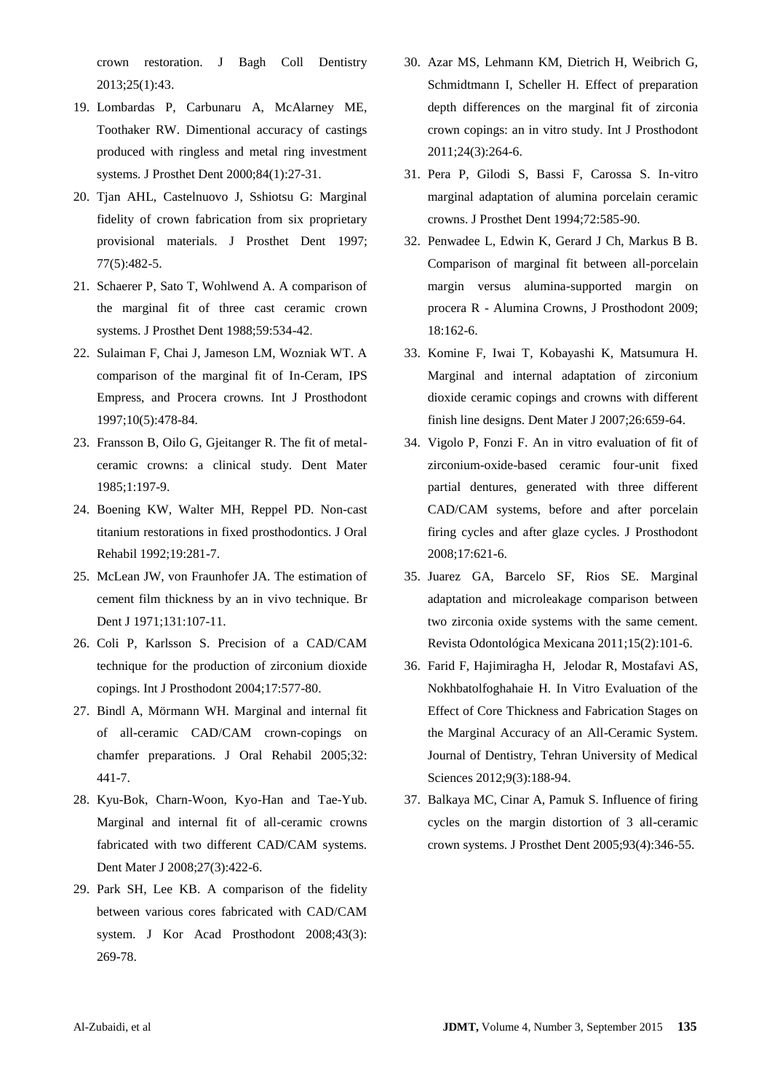crown restoration. J Bagh Coll Dentistry 2013;25(1):43.

- 19. Lombardas P, Carbunaru A, McAlarney ME, Toothaker RW. Dimentional accuracy of castings produced with ringless and metal ring investment systems. J Prosthet Dent 2000;84(1):27-31.
- 20. Tjan AHL, Castelnuovo J, Sshiotsu G: Marginal fidelity of crown fabrication from six proprietary provisional materials. J Prosthet Dent 1997; 77(5):482-5.
- 21. Schaerer P, Sato T, Wohlwend A. A comparison of the marginal fit of three cast ceramic crown systems. J Prosthet Dent 1988;59:534-42.
- 22. Sulaiman F, Chai J, Jameson LM, Wozniak WT. A comparison of the marginal fit of In-Ceram, IPS Empress, and Procera crowns. Int J Prosthodont 1997;10(5):478-84.
- 23. Fransson B, Oilo G, Gjeitanger R. The fit of metalceramic crowns: a clinical study. Dent Mater 1985;1:197-9.
- 24. Boening KW, Walter MH, Reppel PD. Non-cast titanium restorations in fixed prosthodontics. J Oral Rehabil 1992;19:281-7.
- 25. McLean JW, von Fraunhofer JA. The estimation of cement film thickness by an in vivo technique. Br Dent J 1971;131:107-11.
- 26. Coli P, Karlsson S. Precision of a CAD/CAM technique for the production of zirconium dioxide copings. Int J Prosthodont 2004;17:577-80.
- 27. Bindl A, Mörmann WH. Marginal and internal fit of all-ceramic CAD/CAM crown-copings on chamfer preparations. J Oral Rehabil 2005;32: 441-7.
- 28. Kyu-Bok, Charn-Woon, Kyo-Han and Tae-Yub. Marginal and internal fit of all-ceramic crowns fabricated with two different CAD/CAM systems. Dent Mater J 2008;27(3):422-6.
- 29. Park SH, Lee KB. A comparison of the fidelity between various cores fabricated with CAD/CAM system. J Kor Acad Prosthodont 2008;43(3): 269-78.
- 30. Azar MS, Lehmann KM, Dietrich H, Weibrich G, Schmidtmann I, Scheller H. Effect of preparation depth differences on the marginal fit of zirconia crown copings: an in vitro study. Int J Prosthodont 2011;24(3):264-6.
- 31. Pera P, Gilodi S, Bassi F, Carossa S. In-vitro marginal adaptation of alumina porcelain ceramic crowns. J Prosthet Dent 1994;72:585-90.
- 32. Penwadee L, Edwin K, Gerard J Ch, Markus B B. Comparison of marginal fit between all-porcelain margin versus alumina-supported margin on procera R - Alumina Crowns, J Prosthodont 2009; 18:162-6.
- 33. Komine F, Iwai T, Kobayashi K, Matsumura H. Marginal and internal adaptation of zirconium dioxide ceramic copings and crowns with different finish line designs. Dent Mater J 2007;26:659-64.
- 34. Vigolo P, Fonzi F. An in vitro evaluation of fit of zirconium-oxide-based ceramic four-unit fixed partial dentures, generated with three different CAD/CAM systems, before and after porcelain firing cycles and after glaze cycles. J Prosthodont 2008;17:621-6.
- 35. Juarez GA, Barcelo SF, Rios SE. Marginal adaptation and microleakage comparison between two zirconia oxide systems with the same cement. Revista Odontológica Mexicana 2011;15(2):101-6.
- 36. Farid F, Hajimiragha H, Jelodar R, Mostafavi AS, Nokhbatolfoghahaie H. In Vitro Evaluation of the Effect of Core Thickness and Fabrication Stages on the Marginal Accuracy of an All-Ceramic System. Journal of Dentistry, Tehran University of Medical Sciences 2012;9(3):188-94.
- 37. Balkaya MC, Cinar A, Pamuk S. Influence of firing cycles on the margin distortion of 3 all-ceramic crown systems. J Prosthet Dent 2005;93(4):346-55.